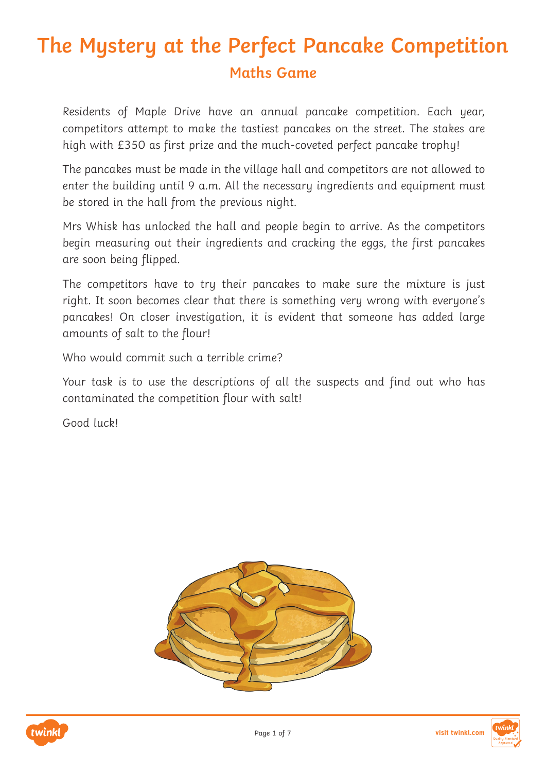## **The Mystery at the Perfect Pancake Competition Maths Game**

Residents of Maple Drive have an annual pancake competition. Each year, competitors attempt to make the tastiest pancakes on the street. The stakes are high with £350 as first prize and the much-coveted perfect pancake trophy!

The pancakes must be made in the village hall and competitors are not allowed to enter the building until 9 a.m. All the necessary ingredients and equipment must be stored in the hall from the previous night.

Mrs Whisk has unlocked the hall and people begin to arrive. As the competitors begin measuring out their ingredients and cracking the eggs, the first pancakes are soon being flipped.

The competitors have to try their pancakes to make sure the mixture is just right. It soon becomes clear that there is something very wrong with everyone's pancakes! On closer investigation, it is evident that someone has added large amounts of salt to the flour!

Who would commit such a terrible crime?

Your task is to use the descriptions of all the suspects and find out who has contaminated the competition flour with salt!

Good luck!





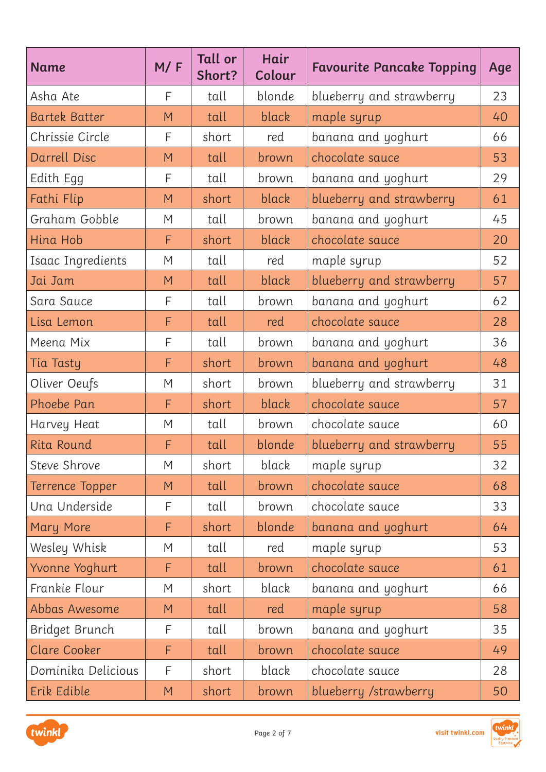| <b>Name</b>            | M/F | <b>Tall or</b><br>Short? | Hair<br>Colour | <b>Favourite Pancake Topping</b> | Age |
|------------------------|-----|--------------------------|----------------|----------------------------------|-----|
| Asha Ate               | F   | tall                     | blonde         | blueberry and strawberry         | 23  |
| <b>Bartek Batter</b>   | M   | tall                     | black          | maple syrup                      | 40  |
| Chrissie Circle        | F   | short                    | red            | banana and yoghurt               | 66  |
| Darrell Disc           | M   | tall                     | brown          | chocolate sauce                  | 53  |
| Edith Egg              | F   | tall                     | brown          | banana and yoghurt               | 29  |
| Fathi Flip             | M   | short                    | black          | blueberry and strawberry         | 61  |
| Graham Gobble          | M   | tall                     | brown          | banana and yoghurt               | 45  |
| Hina Hob               | F   | short                    | black          | chocolate sauce                  | 20  |
| Isaac Ingredients      | M   | tall                     | red            | maple syrup                      | 52  |
| Jai Jam                | M   | tall                     | black          | blueberry and strawberry         | 57  |
| Sara Sauce             | F   | tall                     | brown          | banana and yoghurt               | 62  |
| Lisa Lemon             | F   | tall                     | red            | chocolate sauce                  | 28  |
| Meena Mix              | F   | tall                     | brown          | banana and yoghurt               | 36  |
| Tia Tasty              | F   | short                    | brown          | banana and yoghurt               | 48  |
| Oliver Oeufs           | M   | short                    | brown          | blueberry and strawberry         | 31  |
| Phoebe Pan             | F   | short                    | black          | chocolate sauce                  | 57  |
| Harvey Heat            | M   | tall                     | brown          | chocolate sauce                  | 60  |
| Rita Round             | F   | tall                     | blonde         | blueberry and strawberry         | 55  |
| Steve Shrove           | M   | short                    | black          | maple syrup                      | 32  |
| <b>Terrence Topper</b> | M   | tall                     | brown          | chocolate sauce                  | 68  |
| Una Underside          | F   | tall                     | brown          | chocolate sauce                  | 33  |
| <b>Mary More</b>       | F   | short                    | blonde         | banana and yoghurt               | 64  |
| Wesley Whisk           | M   | tall                     | red            | maple syrup                      | 53  |
| Yvonne Yoghurt         | F   | tall                     | brown          | chocolate sauce                  | 61  |
| Frankie Flour          | М   | short                    | black          | banana and yoghurt               | 66  |
| Abbas Awesome          | M   | tall                     | red            | maple syrup                      | 58  |
| Bridget Brunch         | F   | tall                     | brown          | banana and yoghurt               | 35  |
| <b>Clare Cooker</b>    | F   | tall                     | brown          | chocolate sauce                  | 49  |
| Dominika Delicious     | F   | short                    | black          | chocolate sauce                  | 28  |
| Erik Edible            | M   | short                    | brown          | blueberry /strawberry            | 50  |



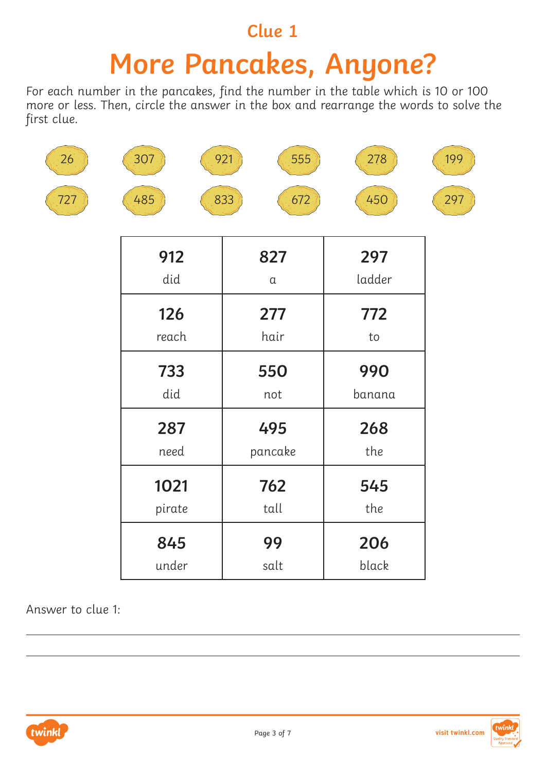### **Clue 1**

# **More Pancakes, Anyone?**

For each number in the pancakes, find the number in the table which is 10 or 100 more or less. Then, circle the answer in the box and rearrange the words to solve the first clue.

| 26     | 307    | 921<br>555 | 278    | 199 |
|--------|--------|------------|--------|-----|
| $-727$ | 485    | 833<br>672 | 450    | 297 |
|        | 912    | 827        | 297    |     |
|        | did    | $\alpha$   | ladder |     |
|        | 126    | 277        | 772    |     |
|        | reach  | hair       | to     |     |
|        | 733    | <b>550</b> | 990    |     |
|        | did    | not        | banana |     |
|        | 287    | 495        | 268    |     |
|        | need   | pancake    | the    |     |
|        | 1021   | 762        | 545    |     |
|        | pirate | tall       | the    |     |
|        | 845    | 99         | 206    |     |
|        | under  | salt       | black  |     |

Answer to clue 1:

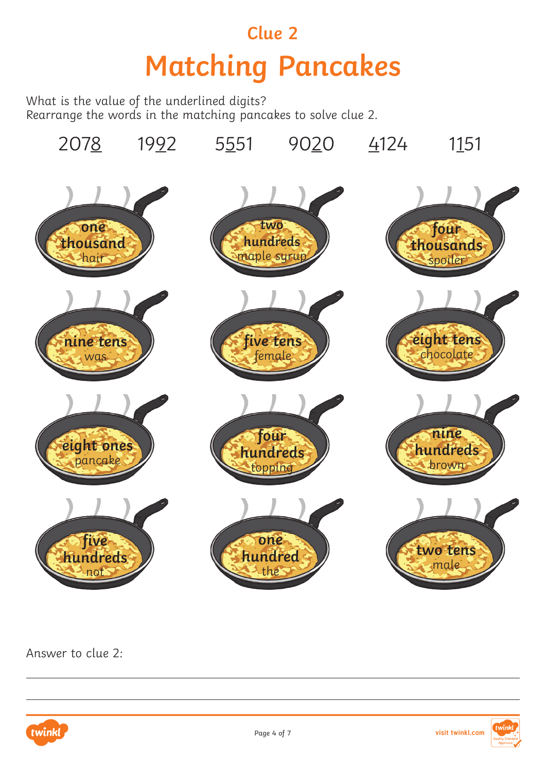## **Clue 2 Matching Pancakes**

What is the value of the underlined digits? Rearrange the words in the matching pancakes to solve clue 2.



Answer to clue 2:



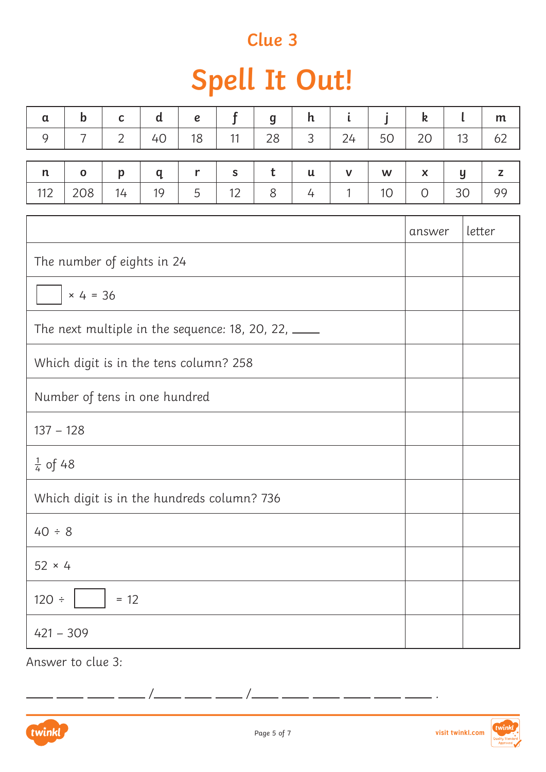## **Clue 3**

# **Spell It Out!**

| $\mathbf a$  |             | C  | d  | $\boldsymbol{e}$ |    | $\boldsymbol{g}$ | h             |    |    |                |    | m  |
|--------------|-------------|----|----|------------------|----|------------------|---------------|----|----|----------------|----|----|
| $\Omega$     |             | っ  | 40 | 18               | 11 | 28               | $\mathcal{R}$ | 24 | 50 | 20             | 13 | 62 |
|              |             |    |    |                  |    |                  |               |    |    |                |    |    |
| $\mathsf{n}$ | $\mathbf 0$ |    | a  |                  | S  |                  | u             |    | W  | X              | y  |    |
| 112          | 208         | 14 | 19 | 5                | 12 | 8                |               |    |    | $\overline{O}$ | 30 | 99 |

|                                                     | answer | letter |
|-----------------------------------------------------|--------|--------|
| The number of eights in 24                          |        |        |
| $× 4 = 36$                                          |        |        |
| The next multiple in the sequence: 18, 20, 22, ____ |        |        |
| Which digit is in the tens column? 258              |        |        |
| Number of tens in one hundred                       |        |        |
| $137 - 128$                                         |        |        |
| $\frac{1}{4}$ of 48                                 |        |        |
| Which digit is in the hundreds column? 736          |        |        |
| $40 \div 8$                                         |        |        |
| $52 \times 4$                                       |        |        |
| 120 :<br>$= 12$                                     |        |        |
| $421 - 309$                                         |        |        |

Answer to clue 3:

. \_\_\_\_ \_\_\_ /\_\_\_\_ \_\_\_\_ \_\_\_ /\_

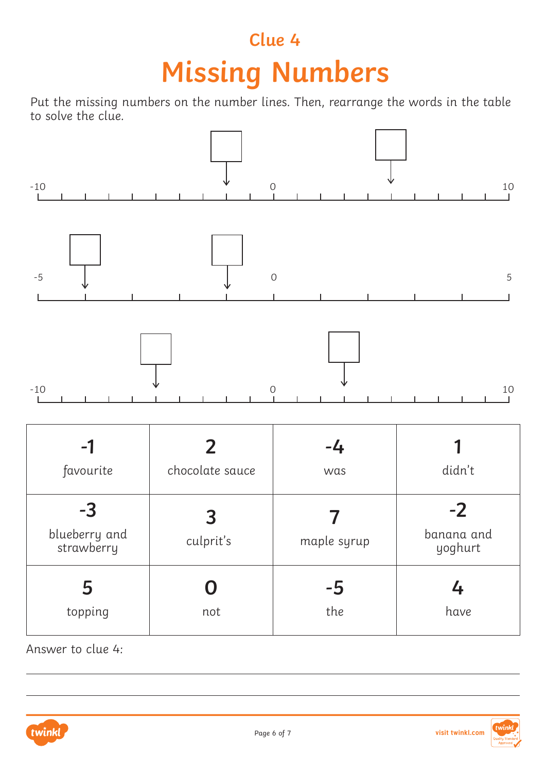## **Clue 4 Missing Numbers**

Put the missing numbers on the number lines. Then, rearrange the words in the table to solve the clue.



Answer to clue 4:



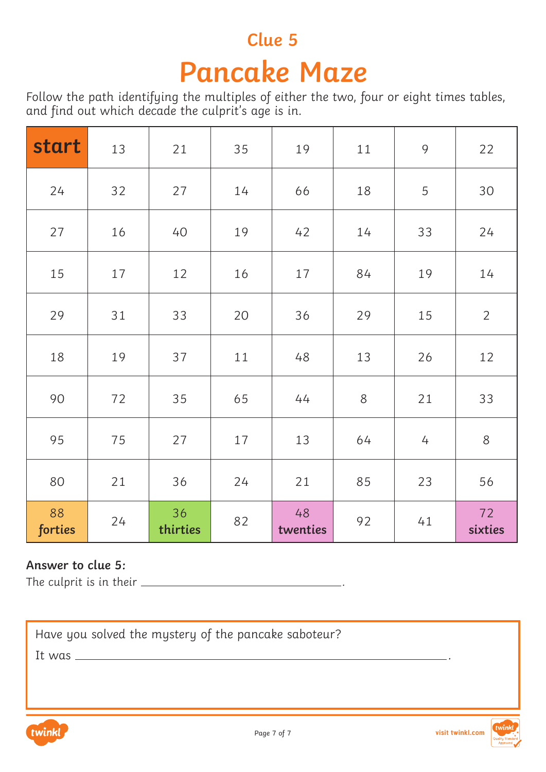### **Clue 5**

# **Pancake Maze**

Follow the path identifying the multiples of either the two, four or eight times tables, and find out which decade the culprit's age is in.

| start         | 13 | 21             | 35 | 19             | $11\,$ | 9              | 22             |
|---------------|----|----------------|----|----------------|--------|----------------|----------------|
| 24            | 32 | 27             | 14 | 66             | 18     | 5              | 30             |
| 27            | 16 | 40             | 19 | 42             | 14     | 33             | 24             |
| 15            | 17 | 12             | 16 | 17             | 84     | 19             | 14             |
| 29            | 31 | 33             | 20 | 36             | 29     | 15             | $\overline{2}$ |
| 18            | 19 | 37             | 11 | 48             | 13     | 26             | 12             |
| 90            | 72 | 35             | 65 | 44             | $8\,$  | 21             | 33             |
| 95            | 75 | 27             | 17 | 13             | 64     | $\overline{4}$ | $8\,$          |
| 80            | 21 | 36             | 24 | 21             | 85     | 23             | 56             |
| 88<br>forties | 24 | 36<br>thirties | 82 | 48<br>twenties | 92     | 41             | 72<br>sixties  |

#### **Answer to clue 5:**

The culprit is in their .

Have you solved the mystery of the pancake saboteur?

It was .

twinkl

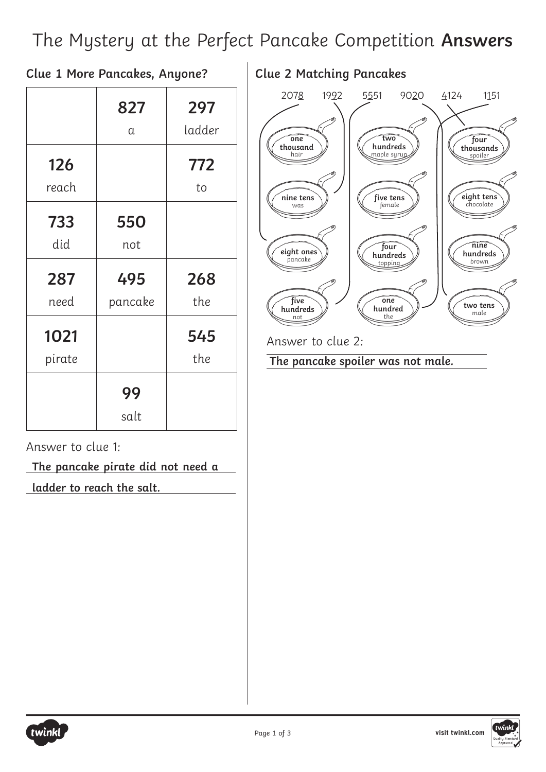## The Mystery at the Perfect Pancake Competition **Answers**

#### **Clue 1 More Pancakes, Anyone?**

|                | 827<br>$\alpha$ | 297<br>ladder |
|----------------|-----------------|---------------|
| 126<br>reach   |                 | 772<br>to     |
| 733<br>did     | 550<br>not      |               |
| 287<br>need    | 495<br>pancake  | 268<br>the    |
| 1021<br>pirate |                 | 545<br>the    |
|                | 99<br>salt      |               |

**Clue 2 Matching Pancakes**



**The pancake spoiler was not male.**

Answer to clue 1:

**The pancake pirate did not need a** 

**ladder to reach the salt.**

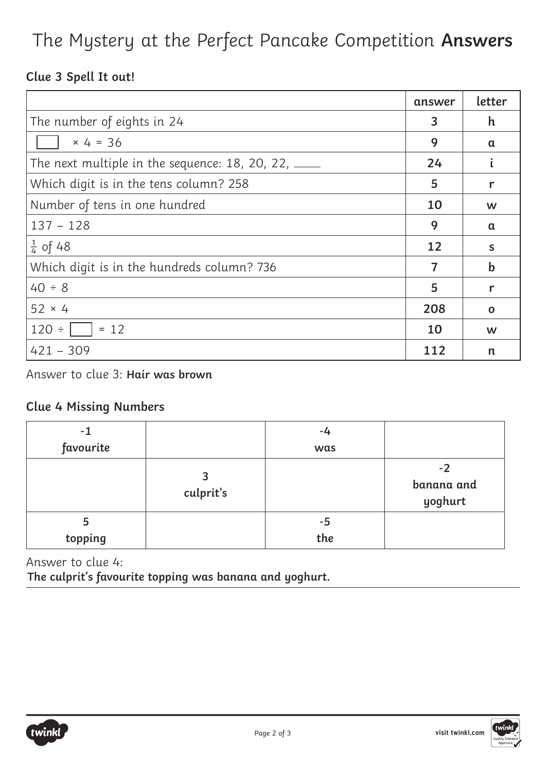## The Mystery at the Perfect Pancake Competition **Answers**

### **Clue 3 Spell It out!**

|                                                                | answer         | letter        |
|----------------------------------------------------------------|----------------|---------------|
| The number of eights in 24                                     | 3              | h.            |
| $× 4 = 36$                                                     | 9              | $\mathbf a$   |
| The next multiple in the sequence: $18$ , $20$ , $22$ , $\_\_$ | 24             |               |
| Which digit is in the tens column? 258                         | 5              | r             |
| Number of tens in one hundred                                  | 10             | W             |
| $137 - 128$                                                    | 9              | $\mathfrak a$ |
| $\frac{1}{4}$ of 48                                            | 12             | S             |
| Which digit is in the hundreds column? 736                     | $\overline{7}$ | $\mathbf b$   |
| $40 \div 8$                                                    | 5              | r             |
| $52 \times 4$                                                  | 208            | $\mathbf 0$   |
| 120 :<br>$= 12$                                                | 10             | W             |
| $421 - 309$                                                    | 112            | n             |

Answer to clue 3: **Hair was brown**

#### **Clue 4 Missing Numbers**

| $-1$<br>favourite |                | $-4$<br>was |                               |
|-------------------|----------------|-------------|-------------------------------|
|                   | 3<br>culprit's |             | $-2$<br>banana and<br>yoghurt |
| 5                 |                | -5          |                               |
| topping           |                | the         |                               |

Answer to clue 4: **The culprit's favourite topping was banana and yoghurt.**